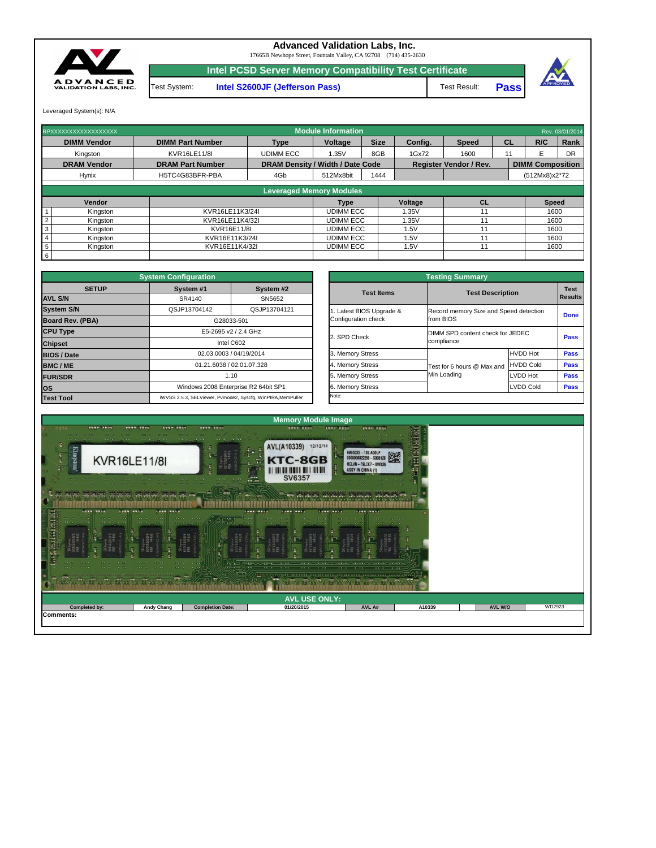Leveraged System(s): N/A



## **Advanced Validation Labs, Inc.**

17665B Newhope Street, Fountain Valley, CA 92708 (714) 435-2630

**Intel PCSD Server Memory Compatibility Test Certificate**

Test System: **Intel S2600JF (Jefferson Pass)** Test Result:

**Pass**



| RPXXXXXXXXXXXXXXXXXX   |                         |                                         | <b>Module Information</b>       |             |         |                               |           |                         | Rev. 03/01/2014 |
|------------------------|-------------------------|-----------------------------------------|---------------------------------|-------------|---------|-------------------------------|-----------|-------------------------|-----------------|
| <b>DIMM Vendor</b>     | <b>DIMM Part Number</b> | <b>Type</b>                             | <b>Voltage</b>                  | <b>Size</b> | Config. | <b>Speed</b>                  | R/C<br>CL |                         | Rank            |
| Kingston               | <b>KVR16LE11/8I</b>     | <b>UDIMM ECC</b>                        | 1.35V                           | 8GB         | 1Gx72   | 1600                          |           | F                       | <b>DR</b>       |
| <b>DRAM Vendor</b>     | <b>DRAM Part Number</b> | <b>DRAM Density / Width / Date Code</b> |                                 |             |         | <b>Register Vendor / Rev.</b> |           | <b>DIMM Composition</b> |                 |
| <b>Hynix</b>           | H5TC4G83BFR-PBA         | 4Gb                                     | 512Mx8bit                       | 1444        |         |                               |           | (512Mx8)x2*72           |                 |
|                        |                         |                                         | <b>Leveraged Memory Modules</b> |             |         |                               |           |                         |                 |
|                        |                         |                                         |                                 |             |         |                               |           |                         |                 |
| Vendor                 |                         |                                         | <b>Type</b>                     |             | Voltage | <b>CL</b>                     |           | <b>Speed</b>            |                 |
| Kingston               | KVR16LE11K3/24I         |                                         | <b>UDIMM ECC</b>                |             | 1.35V   | 11                            |           | 1600                    |                 |
| Kingston               | KVR16LE11K4/32I         |                                         | <b>UDIMM ECC</b>                |             | 1.35V   | 11                            |           | 1600                    |                 |
| 3<br>Kingston          | KVR16E11/8I             |                                         | <b>UDIMM ECC</b>                |             | 1.5V    | 11                            |           | 1600                    |                 |
| Kingston               | KVR16E11K3/24I          |                                         | <b>UDIMM ECC</b>                |             | 1.5V    | 11                            |           | 1600                    |                 |
| $\sqrt{5}$<br>Kingston | KVR16E11K4/32I          |                                         | <b>UDIMM ECC</b>                |             | 1.5V    | 11                            |           | 1600                    |                 |
| $6\overline{6}$        |                         |                                         |                                 |             |         |                               |           |                         |                 |

|              | <b>System Configuration</b> |                                                             |                       | <b>Testing Summary</b>                 |                  |                |  |  |
|--------------|-----------------------------|-------------------------------------------------------------|-----------------------|----------------------------------------|------------------|----------------|--|--|
| <b>SETUP</b> | System #1                   | System #2                                                   | <b>Test Items</b>     | <b>Test Description</b>                |                  | <b>Test</b>    |  |  |
|              | SR4140                      | SN5652                                                      |                       |                                        |                  | <b>Results</b> |  |  |
|              | QSJP13704142                | QSJP13704121                                                | Latest BIOS Upgrade & | Record memory Size and Speed detection |                  |                |  |  |
| <b>BA)</b>   |                             | G28033-501                                                  | Configuration check   | from BIOS                              |                  | <b>Done</b>    |  |  |
|              |                             | E5-2695 v2 / 2.4 GHz                                        |                       | DIMM SPD content check for JEDEC       |                  |                |  |  |
|              |                             | Intel C602                                                  | 2. SPD Check          | compliance                             |                  | <b>Pass</b>    |  |  |
|              |                             | 02.03.0003 / 04/19/2014                                     | 3. Memory Stress      |                                        | <b>HVDD Hot</b>  | <b>Pass</b>    |  |  |
|              |                             | 01.21.6038 / 02.01.07.328                                   | 4. Memory Stress      | Test for 6 hours @ Max and             | <b>HVDD Cold</b> | <b>Pass</b>    |  |  |
|              |                             | 1.10                                                        | 5. Memory Stress      | Min Loading                            | LVDD Hot         | <b>Pass</b>    |  |  |
|              |                             | Windows 2008 Enterprise R2 64bit SP1                        | 6. Memory Stress      |                                        | <b>LVDD Cold</b> | <b>Pass</b>    |  |  |
|              |                             | iWVSS 2.5.3. SELViewer, Pymode2, Syscfa, WinPIRA, MemPuller | Note:                 |                                        |                  |                |  |  |

|                         | <b>System Configuration</b> |                                                             |                       | <b>Testing Summary</b>                 |                  |                |
|-------------------------|-----------------------------|-------------------------------------------------------------|-----------------------|----------------------------------------|------------------|----------------|
| <b>SETUP</b>            | System #1                   | System #2                                                   | <b>Test Items</b>     | <b>Test Description</b>                |                  | <b>Test</b>    |
| <b>AVL S/N</b>          | SR4140                      | SN5652                                                      |                       |                                        |                  | <b>Results</b> |
| <b>System S/N</b>       | QSJP13704142                | QSJP13704121                                                | Latest BIOS Upgrade & | Record memory Size and Speed detection |                  | <b>Done</b>    |
| <b>Board Rev. (PBA)</b> |                             | G28033-501                                                  | Configuration check   | from BIOS                              |                  |                |
| <b>CPU Type</b>         |                             | E5-2695 v2 / 2.4 GHz                                        | 2. SPD Check          | DIMM SPD content check for JEDEC       |                  | <b>Pass</b>    |
| <b>Chipset</b>          |                             | Intel C602                                                  |                       | compliance                             |                  |                |
| <b>BIOS / Date</b>      |                             | 02.03.0003 / 04/19/2014                                     | 3. Memory Stress      |                                        | <b>HVDD Hot</b>  | <b>Pass</b>    |
| <b>BMC/ME</b>           |                             | 01.21.6038 / 02.01.07.328                                   | 4. Memory Stress      | Test for 6 hours @ Max and             | <b>HVDD Cold</b> | <b>Pass</b>    |
| <b>FUR/SDR</b>          |                             | 1.10                                                        | 5. Memory Stress      | Min Loading                            | LVDD Hot         | <b>Pass</b>    |
| <b>OS</b>               |                             | Windows 2008 Enterprise R2 64bit SP1                        | 6. Memory Stress      |                                        | <b>LVDD Cold</b> | <b>Pass</b>    |
| <b>Test Tool</b>        |                             | iWVSS 2.5.3, SELViewer, Pymode2, Syscfq, WinPIRA, MemPuller | Note:                 |                                        |                  |                |